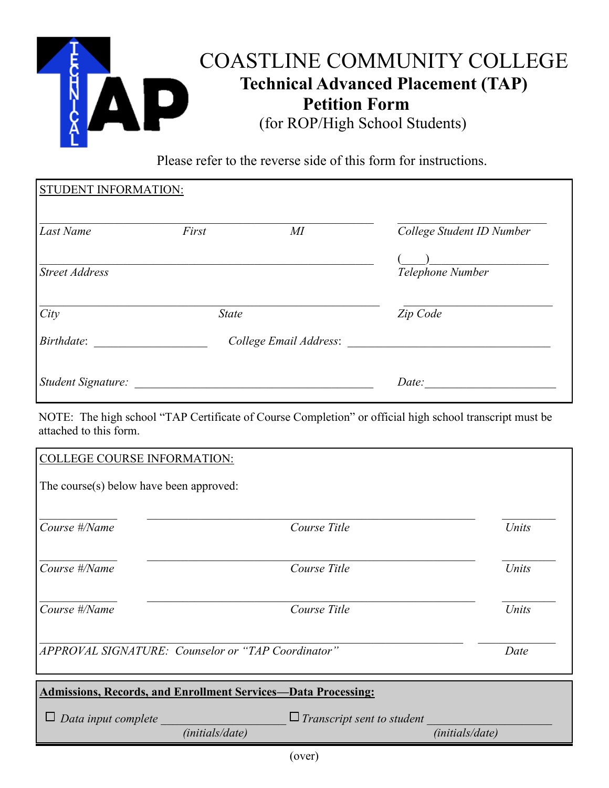

Please refer to the reverse side of this form for instructions.

| <b>STUDENT INFORMATION:</b> |                        |        |                           |
|-----------------------------|------------------------|--------|---------------------------|
| Last Name                   | First                  | $M\!I$ | College Student ID Number |
| <b>Street Address</b>       |                        |        | Telephone Number          |
| City                        | <b>State</b>           |        | Zip Code                  |
| Birthdate:                  | College Email Address: |        |                           |
| Student Signature:          |                        |        | Date:                     |

NOTE: The high school "TAP Certificate of Course Completion" or official high school transcript must be attached to this form.

| Data input complete                                                           | (initials/date) | $\Box$ Transcript sent to student | (initials/date) |       |  |  |  |  |
|-------------------------------------------------------------------------------|-----------------|-----------------------------------|-----------------|-------|--|--|--|--|
| <b>Admissions, Records, and Enrollment Services-Data Processing:</b>          |                 |                                   |                 |       |  |  |  |  |
| APPROVAL SIGNATURE: Counselor or "TAP Coordinator"<br>Date                    |                 |                                   |                 |       |  |  |  |  |
| Course #/Name                                                                 |                 | Course Title                      |                 | Units |  |  |  |  |
| Course #/Name                                                                 |                 | Course Title                      |                 | Units |  |  |  |  |
| Course #/Name                                                                 |                 | Course Title                      |                 | Units |  |  |  |  |
| <b>COLLEGE COURSE INFORMATION:</b><br>The course(s) below have been approved: |                 |                                   |                 |       |  |  |  |  |
|                                                                               |                 |                                   |                 |       |  |  |  |  |